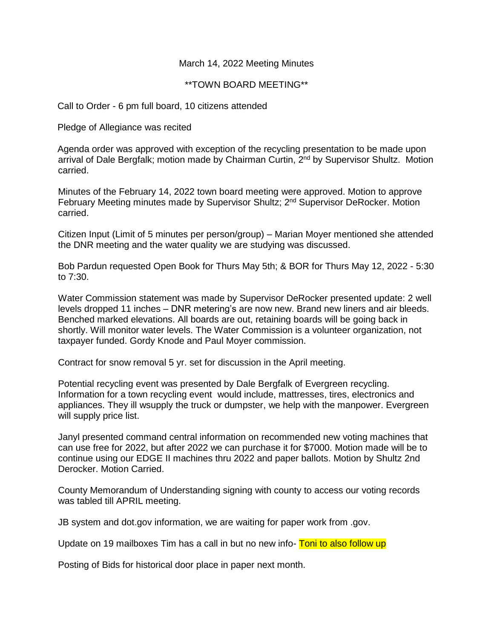## March 14, 2022 Meeting Minutes

## \*\*TOWN BOARD MEETING\*\*

Call to Order - 6 pm full board, 10 citizens attended

Pledge of Allegiance was recited

Agenda order was approved with exception of the recycling presentation to be made upon arrival of Dale Bergfalk; motion made by Chairman Curtin, 2<sup>nd</sup> by Supervisor Shultz. Motion carried.

Minutes of the February 14, 2022 town board meeting were approved. Motion to approve February Meeting minutes made by Supervisor Shultz; 2<sup>nd</sup> Supervisor DeRocker. Motion carried.

Citizen Input (Limit of 5 minutes per person/group) – Marian Moyer mentioned she attended the DNR meeting and the water quality we are studying was discussed.

Bob Pardun requested Open Book for Thurs May 5th; & BOR for Thurs May 12, 2022 - 5:30 to 7:30.

Water Commission statement was made by Supervisor DeRocker presented update: 2 well levels dropped 11 inches – DNR metering's are now new. Brand new liners and air bleeds. Benched marked elevations. All boards are out, retaining boards will be going back in shortly. Will monitor water levels. The Water Commission is a volunteer organization, not taxpayer funded. Gordy Knode and Paul Moyer commission.

Contract for snow removal 5 yr. set for discussion in the April meeting.

Potential recycling event was presented by Dale Bergfalk of Evergreen recycling. Information for a town recycling event would include, mattresses, tires, electronics and appliances. They ill wsupply the truck or dumpster, we help with the manpower. Evergreen will supply price list.

Janyl presented command central information on recommended new voting machines that can use free for 2022, but after 2022 we can purchase it for \$7000. Motion made will be to continue using our EDGE II machines thru 2022 and paper ballots. Motion by Shultz 2nd Derocker. Motion Carried.

County Memorandum of Understanding signing with county to access our voting records was tabled till APRIL meeting.

JB system and dot.gov information, we are waiting for paper work from .gov.

Update on 19 mailboxes Tim has a call in but no new info- Toni to also follow up

Posting of Bids for historical door place in paper next month.